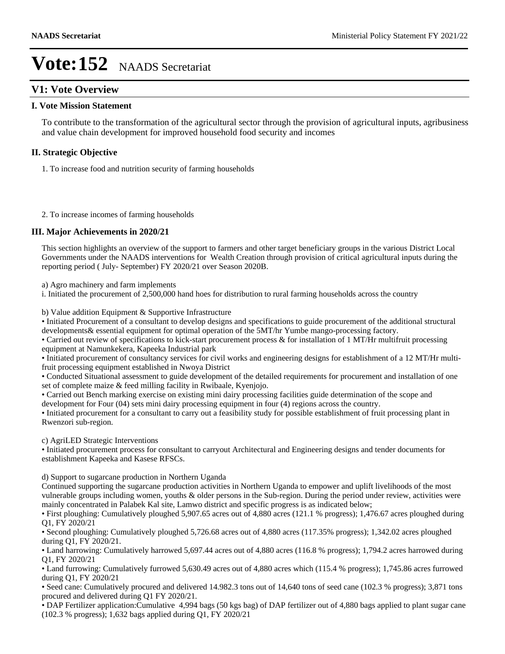## **V1: Vote Overview**

#### **I. Vote Mission Statement**

To contribute to the transformation of the agricultural sector through the provision of agricultural inputs, agribusiness and value chain development for improved household food security and incomes

### **II. Strategic Objective**

1. To increase food and nutrition security of farming households

2. To increase incomes of farming households

### **III. Major Achievements in 2020/21**

This section highlights an overview of the support to farmers and other target beneficiary groups in the various District Local Governments under the NAADS interventions for Wealth Creation through provision of critical agricultural inputs during the reporting period ( July- September) FY 2020/21 over Season 2020B.

a) Agro machinery and farm implements

i. Initiated the procurement of 2,500,000 hand hoes for distribution to rural farming households across the country

b) Value addition Equipment & Supportive Infrastructure

Initiated Procurement of a consultant to develop designs and specifications to guide procurement of the additional structural developments& essential equipment for optimal operation of the 5MT/hr Yumbe mango-processing factory.

• Carried out review of specifications to kick-start procurement process & for installation of 1 MT/Hr multifruit processing equipment at Namunkekera, Kapeeka Industrial park

Initiated procurement of consultancy services for civil works and engineering designs for establishment of a 12 MT/Hr multifruit processing equipment established in Nwoya District

Conducted Situational assessment to guide development of the detailed requirements for procurement and installation of one set of complete maize & feed milling facility in Rwibaale, Kyenjojo.

Carried out Bench marking exercise on existing mini dairy processing facilities guide determination of the scope and development for Four (04) sets mini dairy processing equipment in four (4) regions across the country.

Initiated procurement for a consultant to carry out a feasibility study for possible establishment of fruit processing plant in Rwenzori sub-region.

c) AgriLED Strategic Interventions

Initiated procurement process for consultant to carryout Architectural and Engineering designs and tender documents for establishment Kapeeka and Kasese RFSCs.

d) Support to sugarcane production in Northern Uganda

Continued supporting the sugarcane production activities in Northern Uganda to empower and uplift livelihoods of the most vulnerable groups including women, youths & older persons in the Sub-region. During the period under review, activities were mainly concentrated in Palabek Kal site, Lamwo district and specific progress is as indicated below;

First ploughing: Cumulatively ploughed 5,907.65 acres out of 4,880 acres (121.1 % progress); 1,476.67 acres ploughed during Q1, FY 2020/21

Second ploughing: Cumulatively ploughed 5,726.68 acres out of 4,880 acres (117.35% progress); 1,342.02 acres ploughed during Q1, FY 2020/21.

Land harrowing: Cumulatively harrowed 5,697.44 acres out of 4,880 acres (116.8 % progress); 1,794.2 acres harrowed during Q1, FY 2020/21

Land furrowing: Cumulatively furrowed 5,630.49 acres out of 4,880 acres which (115.4 % progress); 1,745.86 acres furrowed during Q1, FY 2020/21

Seed cane: Cumulatively procured and delivered 14.982.3 tons out of 14,640 tons of seed cane (102.3 % progress); 3,871 tons procured and delivered during Q1 FY 2020/21.

DAP Fertilizer application:Cumulative 4,994 bags (50 kgs bag) of DAP fertilizer out of 4,880 bags applied to plant sugar cane (102.3 % progress); 1,632 bags applied during Q1, FY 2020/21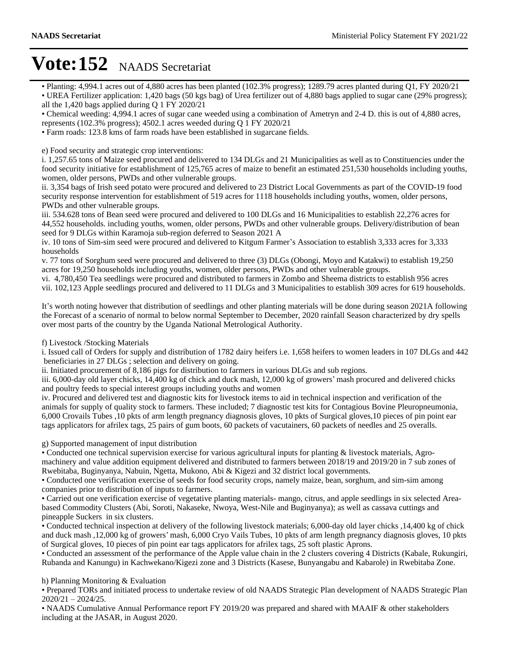Planting: 4,994.1 acres out of 4,880 acres has been planted (102.3% progress); 1289.79 acres planted during Q1, FY 2020/21

UREA Fertilizer application: 1,420 bags (50 kgs bag) of Urea fertilizer out of 4,880 bags applied to sugar cane (29% progress); all the 1,420 bags applied during Q 1 FY 2020/21

Chemical weeding: 4,994.1 acres of sugar cane weeded using a combination of Ametryn and 2-4 D. this is out of 4,880 acres,

represents (102.3% progress); 4502.1 acres weeded during Q 1 FY 2020/21

Farm roads: 123.8 kms of farm roads have been established in sugarcane fields.

e) Food security and strategic crop interventions:

i. 1,257.65 tons of Maize seed procured and delivered to 134 DLGs and 21 Municipalities as well as to Constituencies under the food security initiative for establishment of 125,765 acres of maize to benefit an estimated 251,530 households including youths, women, older persons, PWDs and other vulnerable groups.

ii. 3,354 bags of Irish seed potato were procured and delivered to 23 District Local Governments as part of the COVID-19 food security response intervention for establishment of 519 acres for 1118 households including youths, women, older persons, PWDs and other vulnerable groups.

iii. 534.628 tons of Bean seed were procured and delivered to 100 DLGs and 16 Municipalities to establish 22,276 acres for 44,552 households. including youths, women, older persons, PWDs and other vulnerable groups. Delivery/distribution of bean seed for 9 DLGs within Karamoja sub-region deferred to Season 2021 A

iv. 10 tons of Sim-sim seed were procured and delivered to Kitgum Farmer's Association to establish 3,333 acres for 3,333 households

v. 77 tons of Sorghum seed were procured and delivered to three (3) DLGs (Obongi, Moyo and Katakwi) to establish 19,250 acres for 19,250 households including youths, women, older persons, PWDs and other vulnerable groups.

vi. 4,780,450 Tea seedlings were procured and distributed to farmers in Zombo and Sheema districts to establish 956 acres vii. 102,123 Apple seedlings procured and delivered to 11 DLGs and 3 Municipalities to establish 309 acres for 619 households.

It's worth noting however that distribution of seedlings and other planting materials will be done during season 2021A following the Forecast of a scenario of normal to below normal September to December, 2020 rainfall Season characterized by dry spells over most parts of the country by the Uganda National Metrological Authority.

### f) Livestock /Stocking Materials

i. Issued call of Orders for supply and distribution of 1782 dairy heifers i.e. 1,658 heifers to women leaders in 107 DLGs and 442 beneficiaries in 27 DLGs ; selection and delivery on going.

ii. Initiated procurement of 8,186 pigs for distribution to farmers in various DLGs and sub regions.

iii.  $6,000$ -day old layer chicks,  $14,400$  kg of chick and duck mash,  $12,000$  kg of growers' mash procured and delivered chicks and poultry feeds to special interest groups including youths and women

iv. Procured and delivered test and diagnostic kits for livestock items to aid in technical inspection and verification of the animals for supply of quality stock to farmers. These included; 7 diagnostic test kits for Contagious Bovine Pleuropneumonia, 6,000 Crovails Tubes ,10 pkts of arm length pregnancy diagnosis gloves, 10 pkts of Surgical gloves,10 pieces of pin point ear tags applicators for afrilex tags, 25 pairs of gum boots, 60 packets of vacutainers, 60 packets of needles and 25 overalls.

### g) Supported management of input distribution

Conducted one technical supervision exercise for various agricultural inputs for planting & livestock materials, Agromachinery and value addition equipment delivered and distributed to farmers between 2018/19 and 2019/20 in 7 sub zones of Rwebitaba, Buginyanya, Nabuin, Ngetta, Mukono, Abi & Kigezi and 32 district local governments.

Conducted one verification exercise of seeds for food security crops, namely maize, bean, sorghum, and sim-sim among companies prior to distribution of inputs to farmers.

Carried out one verification exercise of vegetative planting materials- mango, citrus, and apple seedlings in six selected Areabased Commodity Clusters (Abi, Soroti, Nakaseke, Nwoya, West-Nile and Buginyanya); as well as cassava cuttings and pineapple Suckers in six clusters.

Conducted technical inspection at delivery of the following livestock materials; 6,000-day old layer chicks ,14,400 kg of chick and duck mash ,12,000 kg of growers' mash, 6,000 Cryo Vails Tubes, 10 pkts of arm length pregnancy diagnosis gloves, 10 pkts of Surgical gloves, 10 pieces of pin point ear tags applicators for afrilex tags, 25 soft plastic Aprons.

Conducted an assessment of the performance of the Apple value chain in the 2 clusters covering 4 Districts (Kabale, Rukungiri, Rubanda and Kanungu) in Kachwekano/Kigezi zone and 3 Districts (Kasese, Bunyangabu and Kabarole) in Rwebitaba Zone.

#### h) Planning Monitoring & Evaluation

Prepared TORs and initiated process to undertake review of old NAADS Strategic Plan development of NAADS Strategic Plan  $2020/21 - 2024/25$ .

NAADS Cumulative Annual Performance report FY 2019/20 was prepared and shared with MAAIF & other stakeholders including at the JASAR, in August 2020.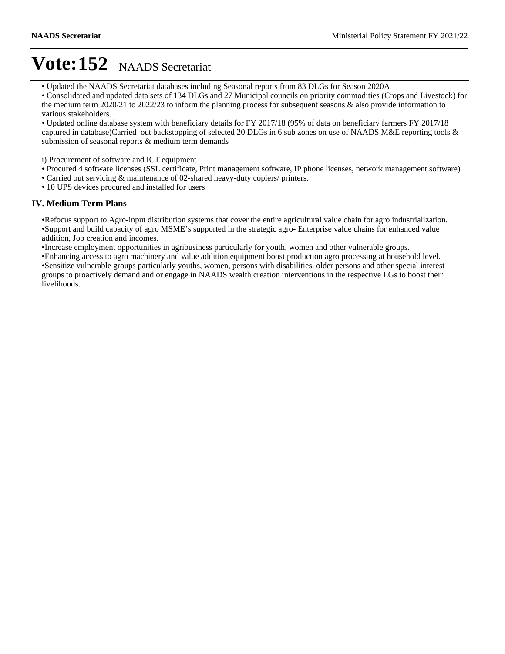Updated the NAADS Secretariat databases including Seasonal reports from 83 DLGs for Season 2020A.

Consolidated and updated data sets of 134 DLGs and 27 Municipal councils on priority commodities (Crops and Livestock) for the medium term 2020/21 to 2022/23 to inform the planning process for subsequent seasons & also provide information to various stakeholders.

Updated online database system with beneficiary details for FY 2017/18 (95% of data on beneficiary farmers FY 2017/18 captured in database)Carried out backstopping of selected 20 DLGs in 6 sub zones on use of NAADS M&E reporting tools & submission of seasonal reports & medium term demands

i) Procurement of software and ICT equipment

- Procured 4 software licenses (SSL certificate, Print management software, IP phone licenses, network management software)
- Carried out servicing & maintenance of 02-shared heavy-duty copiers/ printers.
- 10 UPS devices procured and installed for users

#### **IV. Medium Term Plans**

Refocus support to Agro-input distribution systems that cover the entire agricultural value chain for agro industrialization. •Support and build capacity of agro MSME's supported in the strategic agro- Enterprise value chains for enhanced value addition, Job creation and incomes.

Increase employment opportunities in agribusiness particularly for youth, women and other vulnerable groups.

Enhancing access to agro machinery and value addition equipment boost production agro processing at household level. Sensitize vulnerable groups particularly youths, women, persons with disabilities, older persons and other special interest groups to proactively demand and or engage in NAADS wealth creation interventions in the respective LGs to boost their livelihoods.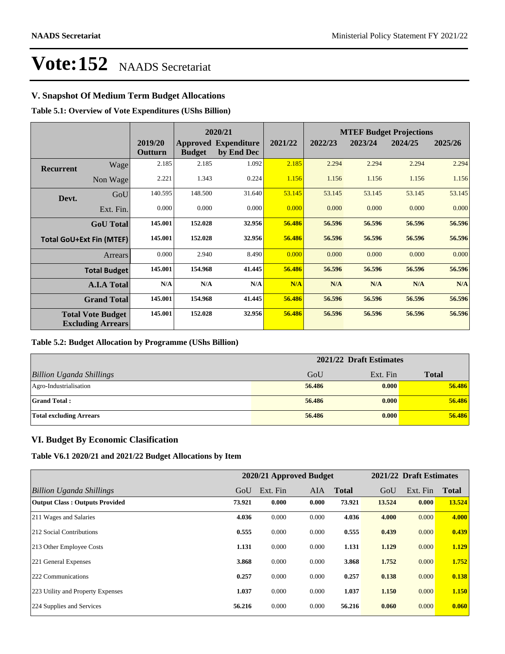## **V. Snapshot Of Medium Term Budget Allocations**

**Table 5.1: Overview of Vote Expenditures (UShs Billion)**

| 2020/21          |                                                      |                    | <b>MTEF Budget Projections</b> |                                           |         |         |         |         |         |
|------------------|------------------------------------------------------|--------------------|--------------------------------|-------------------------------------------|---------|---------|---------|---------|---------|
|                  |                                                      | 2019/20<br>Outturn | <b>Budget</b>                  | <b>Approved Expenditure</b><br>by End Dec | 2021/22 | 2022/23 | 2023/24 | 2024/25 | 2025/26 |
| <b>Recurrent</b> | Wage                                                 | 2.185              | 2.185                          | 1.092                                     | 2.185   | 2.294   | 2.294   | 2.294   | 2.294   |
|                  | Non Wage                                             | 2.221              | 1.343                          | 0.224                                     | 1.156   | 1.156   | 1.156   | 1.156   | 1.156   |
| Devt.            | GoU                                                  | 140.595            | 148.500                        | 31.640                                    | 53.145  | 53.145  | 53.145  | 53.145  | 53.145  |
|                  | Ext. Fin.                                            | 0.000              | 0.000                          | 0.000                                     | 0.000   | 0.000   | 0.000   | 0.000   | 0.000   |
|                  | <b>GoU</b> Total                                     | 145.001            | 152.028                        | 32.956                                    | 56.486  | 56.596  | 56.596  | 56.596  | 56.596  |
|                  | <b>Total GoU+Ext Fin (MTEF)</b>                      | 145.001            | 152.028                        | 32.956                                    | 56.486  | 56.596  | 56.596  | 56.596  | 56.596  |
|                  | Arrears                                              | 0.000              | 2.940                          | 8.490                                     | 0.000   | 0.000   | 0.000   | 0.000   | 0.000   |
|                  | <b>Total Budget</b>                                  | 145.001            | 154.968                        | 41.445                                    | 56.486  | 56.596  | 56.596  | 56.596  | 56.596  |
|                  | <b>A.I.A Total</b>                                   | N/A                | N/A                            | N/A                                       | N/A     | N/A     | N/A     | N/A     | N/A     |
|                  | <b>Grand Total</b>                                   | 145.001            | 154.968                        | 41.445                                    | 56.486  | 56.596  | 56.596  | 56.596  | 56.596  |
|                  | <b>Total Vote Budget</b><br><b>Excluding Arrears</b> | 145.001            | 152.028                        | 32.956                                    | 56.486  | 56.596  | 56.596  | 56.596  | 56.596  |

#### **Table 5.2: Budget Allocation by Programme (UShs Billion)**

|                                 | 2021/22 Draft Estimates |          |              |
|---------------------------------|-------------------------|----------|--------------|
| <b>Billion Uganda Shillings</b> | GoU                     | Ext. Fin | <b>Total</b> |
| Agro-Industrialisation          | 56.486                  | 0.000    | 56.486       |
| <b>Grand Total:</b>             | 56.486                  | 0.000    | 56.486       |
| <b>Total excluding Arrears</b>  | 56.486                  | 0.000    | 56.486       |

### **VI. Budget By Economic Clasification**

**Table V6.1 2020/21 and 2021/22 Budget Allocations by Item**

|                                       |        | 2020/21 Approved Budget |            |              |        | 2021/22 Draft Estimates |              |
|---------------------------------------|--------|-------------------------|------------|--------------|--------|-------------------------|--------------|
| Billion Uganda Shillings              | GoU    | Ext. Fin                | <b>AIA</b> | <b>Total</b> | GoU    | Ext. Fin                | <b>Total</b> |
| <b>Output Class: Outputs Provided</b> | 73.921 | 0.000                   | 0.000      | 73.921       | 13.524 | 0.000                   | 13.524       |
| 211 Wages and Salaries                | 4.036  | 0.000                   | 0.000      | 4.036        | 4.000  | 0.000                   | 4.000        |
| 212 Social Contributions              | 0.555  | 0.000                   | 0.000      | 0.555        | 0.439  | 0.000                   | 0.439        |
| 213 Other Employee Costs              | 1.131  | 0.000                   | 0.000      | 1.131        | 1.129  | 0.000                   | 1.129        |
| 221 General Expenses                  | 3.868  | 0.000                   | 0.000      | 3.868        | 1.752  | 0.000                   | 1.752        |
| 222 Communications                    | 0.257  | 0.000                   | 0.000      | 0.257        | 0.138  | 0.000                   | 0.138        |
| 223 Utility and Property Expenses     | 1.037  | 0.000                   | 0.000      | 1.037        | 1.150  | 0.000                   | 1.150        |
| 224 Supplies and Services             | 56.216 | 0.000                   | 0.000      | 56.216       | 0.060  | 0.000                   | 0.060        |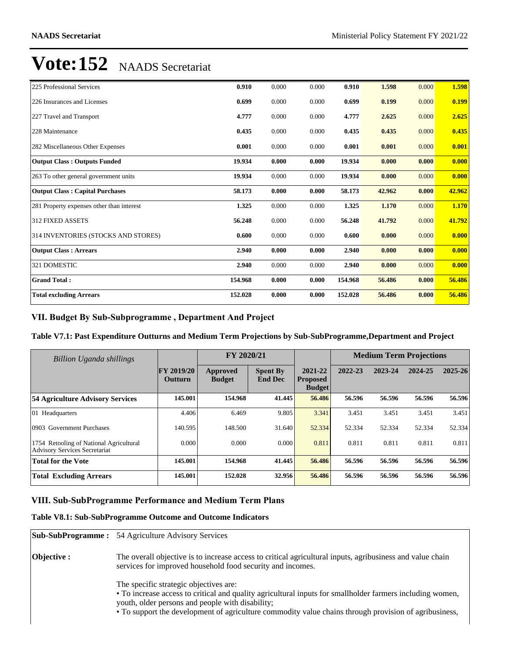| 225 Professional Services                 | 0.910   | 0.000 | 0.000 | 0.910   | 1.598  | 0.000 | 1.598  |
|-------------------------------------------|---------|-------|-------|---------|--------|-------|--------|
| 226 Insurances and Licenses               | 0.699   | 0.000 | 0.000 | 0.699   | 0.199  | 0.000 | 0.199  |
| 227 Travel and Transport                  | 4.777   | 0.000 | 0.000 | 4.777   | 2.625  | 0.000 | 2.625  |
| 228 Maintenance                           | 0.435   | 0.000 | 0.000 | 0.435   | 0.435  | 0.000 | 0.435  |
| 282 Miscellaneous Other Expenses          | 0.001   | 0.000 | 0.000 | 0.001   | 0.001  | 0.000 | 0.001  |
| <b>Output Class: Outputs Funded</b>       | 19.934  | 0.000 | 0.000 | 19.934  | 0.000  | 0.000 | 0.000  |
| 263 To other general government units     | 19.934  | 0.000 | 0.000 | 19.934  | 0.000  | 0.000 | 0.000  |
| <b>Output Class: Capital Purchases</b>    | 58.173  | 0.000 | 0.000 | 58.173  | 42.962 | 0.000 | 42.962 |
| 281 Property expenses other than interest | 1.325   | 0.000 | 0.000 | 1.325   | 1.170  | 0.000 | 1.170  |
| 312 FIXED ASSETS                          | 56.248  | 0.000 | 0.000 | 56.248  | 41.792 | 0.000 | 41.792 |
| 314 INVENTORIES (STOCKS AND STORES)       | 0.600   | 0.000 | 0.000 | 0.600   | 0.000  | 0.000 | 0.000  |
| <b>Output Class: Arrears</b>              | 2.940   | 0.000 | 0.000 | 2.940   | 0.000  | 0.000 | 0.000  |
| 321 DOMESTIC                              | 2.940   | 0.000 | 0.000 | 2.940   | 0.000  | 0.000 | 0.000  |
| <b>Grand Total:</b>                       | 154.968 | 0.000 | 0.000 | 154.968 | 56.486 | 0.000 | 56.486 |
| <b>Total excluding Arrears</b>            | 152.028 | 0.000 | 0.000 | 152.028 | 56.486 | 0.000 | 56.486 |

### VII. Budget By Sub-Subprogramme, Department And Project

**Table V7.1: Past Expenditure Outturns and Medium Term Projections by Sub-SubProgramme,Department and Project**

| <b>Billion Uganda shillings</b>                                                 |                              | FY 2020/21                |                                   |                                             | <b>Medium Term Projections</b> |         |         |         |
|---------------------------------------------------------------------------------|------------------------------|---------------------------|-----------------------------------|---------------------------------------------|--------------------------------|---------|---------|---------|
|                                                                                 | <b>FY 2019/20</b><br>Outturn | Approved<br><b>Budget</b> | <b>Spent By</b><br><b>End Dec</b> | 2021-22<br><b>Proposed</b><br><b>Budget</b> | 2022-23                        | 2023-24 | 2024-25 | 2025-26 |
| 54 Agriculture Advisory Services                                                | 145.001                      | 154.968                   | 41.445                            | 56.486                                      | 56.596                         | 56.596  | 56.596  | 56.596  |
| 01 Headquarters                                                                 | 4.406                        | 6.469                     | 9.805                             | 3.341                                       | 3.451                          | 3.451   | 3.451   | 3.451   |
| 0903 Government Purchases                                                       | 140.595                      | 148.500                   | 31.640                            | 52.334                                      | 52.334                         | 52.334  | 52.334  | 52.334  |
| 1754 Retooling of National Agricultural<br><b>Advisory Services Secretariat</b> | 0.000                        | 0.000                     | 0.000                             | 0.811                                       | 0.811                          | 0.811   | 0.811   | 0.811   |
| <b>Total for the Vote</b>                                                       | 145.001                      | 154.968                   | 41.445                            | 56.486                                      | 56.596                         | 56.596  | 56.596  | 56.596  |
| <b>Total Excluding Arrears</b>                                                  | 145.001                      | 152.028                   | 32.956                            | 56.486                                      | 56.596                         | 56.596  | 56.596  | 56.596  |

### **VIII. Sub-SubProgramme Performance and Medium Term Plans**

#### **Table V8.1: Sub-SubProgramme Outcome and Outcome Indicators**

|                    | <b>Sub-SubProgramme:</b> 54 Agriculture Advisory Services                                                                                                                                                                                                                                                        |
|--------------------|------------------------------------------------------------------------------------------------------------------------------------------------------------------------------------------------------------------------------------------------------------------------------------------------------------------|
| <b>Objective :</b> | The overall objective is to increase access to critical agricultural inputs, agribusiness and value chain<br>services for improved household food security and incomes.                                                                                                                                          |
|                    | The specific strategic objectives are:<br>• To increase access to critical and quality agricultural inputs for smallholder farmers including women,<br>youth, older persons and people with disability;<br>• To support the development of agriculture commodity value chains through provision of agribusiness, |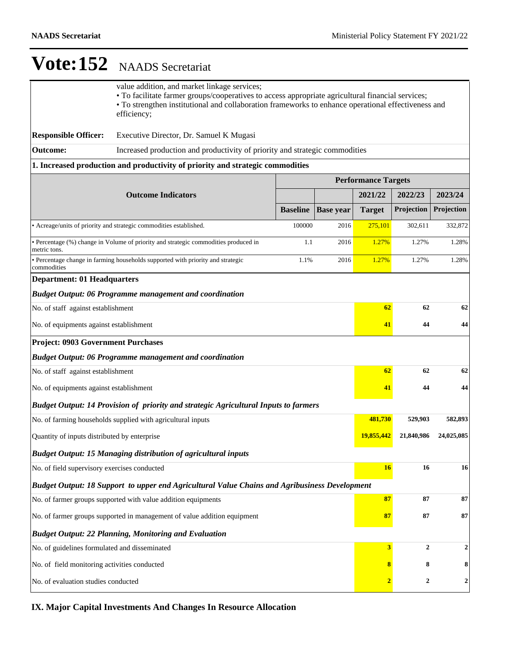|                                                                          | value addition, and market linkage services;<br>• To facilitate farmer groups/cooperatives to access appropriate agricultural financial services;<br>• To strengthen institutional and collaboration frameworks to enhance operational effectiveness and<br>efficiency; |                                                                             |                  |               |                |                  |  |  |  |
|--------------------------------------------------------------------------|-------------------------------------------------------------------------------------------------------------------------------------------------------------------------------------------------------------------------------------------------------------------------|-----------------------------------------------------------------------------|------------------|---------------|----------------|------------------|--|--|--|
| <b>Responsible Officer:</b>                                              | Executive Director, Dr. Samuel K Mugasi                                                                                                                                                                                                                                 |                                                                             |                  |               |                |                  |  |  |  |
| <b>Outcome:</b>                                                          |                                                                                                                                                                                                                                                                         | Increased production and productivity of priority and strategic commodities |                  |               |                |                  |  |  |  |
|                                                                          | 1. Increased production and productivity of priority and strategic commodities                                                                                                                                                                                          |                                                                             |                  |               |                |                  |  |  |  |
|                                                                          | <b>Performance Targets</b>                                                                                                                                                                                                                                              |                                                                             |                  |               |                |                  |  |  |  |
|                                                                          | <b>Outcome Indicators</b>                                                                                                                                                                                                                                               |                                                                             |                  | 2021/22       | 2022/23        | 2023/24          |  |  |  |
|                                                                          |                                                                                                                                                                                                                                                                         | <b>Baseline</b>                                                             | <b>Base year</b> | <b>Target</b> | Projection     | Projection       |  |  |  |
|                                                                          | • Acreage/units of priority and strategic commodities established.                                                                                                                                                                                                      | 100000                                                                      | 2016             | 275,101       | 302,611        | 332,872          |  |  |  |
| metric tons.                                                             | • Percentage (%) change in Volume of priority and strategic commodities produced in                                                                                                                                                                                     | 1.1                                                                         | 2016             | 1.27%         | 1.27%          | 1.28%            |  |  |  |
| commodities                                                              | • Percentage change in farming households supported with priority and strategic                                                                                                                                                                                         | 1.1%                                                                        | 2016             | 1.27%         | 1.27%          | 1.28%            |  |  |  |
| <b>Department: 01 Headquarters</b>                                       |                                                                                                                                                                                                                                                                         |                                                                             |                  |               |                |                  |  |  |  |
|                                                                          | <b>Budget Output: 06 Programme management and coordination</b>                                                                                                                                                                                                          |                                                                             |                  |               |                |                  |  |  |  |
| No. of staff against establishment                                       |                                                                                                                                                                                                                                                                         |                                                                             |                  | 62            | 62             | 62               |  |  |  |
| No. of equipments against establishment                                  |                                                                                                                                                                                                                                                                         |                                                                             |                  | 41            | 44             | 44               |  |  |  |
| <b>Project: 0903 Government Purchases</b>                                |                                                                                                                                                                                                                                                                         |                                                                             |                  |               |                |                  |  |  |  |
|                                                                          | <b>Budget Output: 06 Programme management and coordination</b>                                                                                                                                                                                                          |                                                                             |                  |               |                |                  |  |  |  |
| No. of staff against establishment                                       |                                                                                                                                                                                                                                                                         |                                                                             |                  | 62            | 62             | 62               |  |  |  |
| No. of equipments against establishment                                  |                                                                                                                                                                                                                                                                         |                                                                             |                  | 41            | 44             | 44               |  |  |  |
|                                                                          | Budget Output: 14 Provision of priority and strategic Agricultural Inputs to farmers                                                                                                                                                                                    |                                                                             |                  |               |                |                  |  |  |  |
|                                                                          | No. of farming households supplied with agricultural inputs                                                                                                                                                                                                             |                                                                             |                  | 481,730       | 529,903        | 582,893          |  |  |  |
| Quantity of inputs distributed by enterprise                             |                                                                                                                                                                                                                                                                         |                                                                             |                  | 19,855,442    | 21,840,986     | 24,025,085       |  |  |  |
|                                                                          | <b>Budget Output: 15 Managing distribution of agricultural inputs</b>                                                                                                                                                                                                   |                                                                             |                  |               |                |                  |  |  |  |
| No. of field supervisory exercises conducted                             |                                                                                                                                                                                                                                                                         |                                                                             |                  | <b>16</b>     | 16             | 16               |  |  |  |
|                                                                          | Budget Output: 18 Support to upper end Agricultural Value Chains and Agribusiness Development                                                                                                                                                                           |                                                                             |                  |               |                |                  |  |  |  |
| No. of farmer groups supported with value addition equipments            | 87                                                                                                                                                                                                                                                                      | 87                                                                          | 87               |               |                |                  |  |  |  |
| No. of farmer groups supported in management of value addition equipment | 87                                                                                                                                                                                                                                                                      | 87                                                                          | ${\bf 87}$       |               |                |                  |  |  |  |
|                                                                          | <b>Budget Output: 22 Planning, Monitoring and Evaluation</b>                                                                                                                                                                                                            |                                                                             |                  |               |                |                  |  |  |  |
| No. of guidelines formulated and disseminated                            |                                                                                                                                                                                                                                                                         |                                                                             |                  | 3             | $\overline{2}$ | $\boldsymbol{2}$ |  |  |  |
| No. of field monitoring activities conducted                             |                                                                                                                                                                                                                                                                         |                                                                             |                  | 8             | 8              | 8                |  |  |  |
| No. of evaluation studies conducted                                      |                                                                                                                                                                                                                                                                         | $\overline{2}$                                                              | $\boldsymbol{2}$ | $\mathbf 2$   |                |                  |  |  |  |

**IX. Major Capital Investments And Changes In Resource Allocation**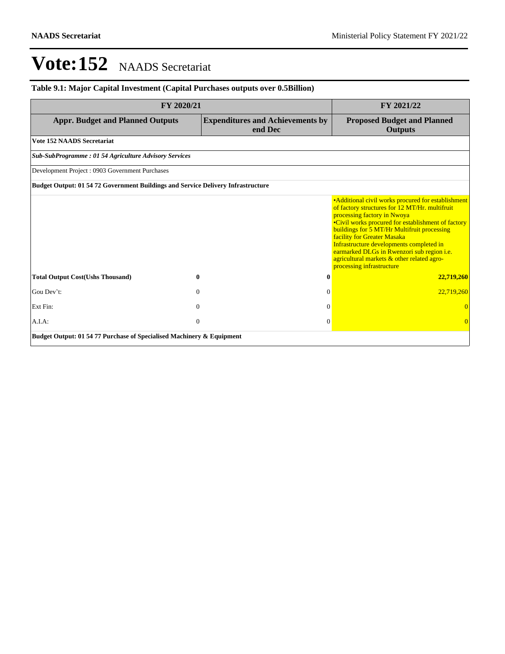# **Table 9.1: Major Capital Investment (Capital Purchases outputs over 0.5Billion)**

| FY 2020/21                                                                              | FY 2021/22                                         |                                                                                                                                                                                                                                                                                                                                                                                                                                                      |  |  |  |  |
|-----------------------------------------------------------------------------------------|----------------------------------------------------|------------------------------------------------------------------------------------------------------------------------------------------------------------------------------------------------------------------------------------------------------------------------------------------------------------------------------------------------------------------------------------------------------------------------------------------------------|--|--|--|--|
| <b>Appr. Budget and Planned Outputs</b>                                                 | <b>Expenditures and Achievements by</b><br>end Dec | <b>Proposed Budget and Planned</b><br><b>Outputs</b>                                                                                                                                                                                                                                                                                                                                                                                                 |  |  |  |  |
| <b>Vote 152 NAADS Secretariat</b>                                                       |                                                    |                                                                                                                                                                                                                                                                                                                                                                                                                                                      |  |  |  |  |
| <b>Sub-SubProgramme: 01 54 Agriculture Advisory Services</b>                            |                                                    |                                                                                                                                                                                                                                                                                                                                                                                                                                                      |  |  |  |  |
| Development Project: 0903 Government Purchases                                          |                                                    |                                                                                                                                                                                                                                                                                                                                                                                                                                                      |  |  |  |  |
| <b>Budget Output: 01 54 72 Government Buildings and Service Delivery Infrastructure</b> |                                                    |                                                                                                                                                                                                                                                                                                                                                                                                                                                      |  |  |  |  |
|                                                                                         |                                                    | • Additional civil works procured for establishment<br>of factory structures for 12 MT/Hr. multifruit<br>processing factory in Nwoya<br>•Civil works procured for establishment of factory<br>buildings for 5 MT/Hr Multifruit processing<br>facility for Greater Masaka<br>Infrastructure developments completed in<br>earmarked DLGs in Rwenzori sub region <i>i.e.</i><br>agricultural markets & other related agro-<br>processing infrastructure |  |  |  |  |
| <b>Total Output Cost(Ushs Thousand)</b>                                                 | 0<br>$\mathbf{0}$                                  | 22,719,260                                                                                                                                                                                                                                                                                                                                                                                                                                           |  |  |  |  |
| Gou Dev't:                                                                              | $\Omega$<br>$\Omega$                               | 22,719,260                                                                                                                                                                                                                                                                                                                                                                                                                                           |  |  |  |  |
| Ext Fin:                                                                                | $\Omega$<br>$\Omega$                               |                                                                                                                                                                                                                                                                                                                                                                                                                                                      |  |  |  |  |
| $A.I.A$ :                                                                               | $\mathbf{0}$<br>$\Omega$                           |                                                                                                                                                                                                                                                                                                                                                                                                                                                      |  |  |  |  |
| Budget Output: 01 54 77 Purchase of Specialised Machinery & Equipment                   |                                                    |                                                                                                                                                                                                                                                                                                                                                                                                                                                      |  |  |  |  |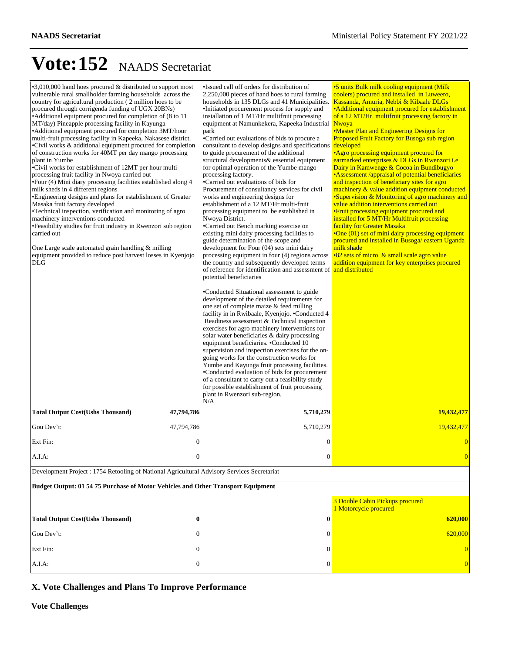| $\cdot$ 3,010,000 hand hoes procured & distributed to support most<br>vulnerable rural smallholder farming households across the<br>country for agricultural production (2 million hoes to be<br>procured through corrigenda funding of UGX 20BNs)<br>•Additional equipment procured for completion of (8 to 11)<br>MT/day) Pineapple processing facility in Kayunga<br>• Additional equipment procured for completion 3MT/hour<br>multi-fruit processing facility in Kapeeka, Nakasese district.<br>•Civil works & additional equipment procured for completion<br>of construction works for 40MT per day mango processing<br>plant in Yumbe<br>•Civil works for establishment of 12MT per hour multi-<br>processing fruit facility in Nwoya carried out<br>• Four (4) Mini diary processing facilities established along 4<br>milk sheds in 4 different regions<br>•Engineering designs and plans for establishment of Greater<br>Masaka fruit factory developed<br>•Technical inspection, verification and monitoring of agro<br>machinery interventions conducted<br>•Feasibility studies for fruit industry in Rwenzori sub region<br>carried out<br>One Large scale automated grain handling & milling<br>equipment provided to reduce post harvest losses in Kyenjojo<br>DLG |                  | •Issued call off orders for distribution of<br>2,250,000 pieces of hand hoes to rural farming<br>households in 135 DLGs and 41 Municipalities.<br>•Initiated procurement process for supply and<br>installation of 1 MT/Hr multifruit processing<br>equipment at Namunkekera, Kapeeka Industrial Nwoya<br>park<br>•Carried out evaluations of bids to procure a<br>consultant to develop designs and specifications<br>to guide procurement of the additional<br>structural developments& essential equipment<br>for optimal operation of the Yumbe mango-<br>processing factory.<br>•Carried out evaluations of bids for<br>Procurement of consultancy services for civil<br>works and engineering designs for<br>establishment of a 12 MT/Hr multi-fruit<br>processing equipment to be established in<br>Nwoya District.<br>•Carried out Bench marking exercise on<br>existing mini dairy processing facilities to<br>guide determination of the scope and<br>development for Four (04) sets mini dairy<br>processing equipment in four (4) regions across<br>the country and subsequently developed terms<br>of reference for identification and assessment of and distributed<br>potential beneficiaries<br>•Conducted Situational assessment to guide<br>development of the detailed requirements for<br>one set of complete maize & feed milling<br>facility in in Rwibaale, Kyenjojo. .Conducted 4<br>Readiness assessment & Technical inspection<br>exercises for agro machinery interventions for<br>solar water beneficiaries & dairy processing<br>equipment beneficiaries. • Conducted 10<br>supervision and inspection exercises for the on-<br>going works for the construction works for<br>Yumbe and Kayunga fruit processing facilities.<br>•Conducted evaluation of bids for procurement<br>of a consultant to carry out a feasibility study<br>for possible establishment of fruit processing<br>plant in Rwenzori sub-region.<br>N/A | •5 units Bulk milk cooling equipment (Milk<br>coolers) procured and installed in Luweero,<br>Kassanda, Amuria, Nebbi & Kibaale DLGs<br>• Additional equipment procured for establishment<br>of a 12 MT/Hr. multifruit processing factory in<br>•Master Plan and Engineering Designs for<br>Proposed Fruit Factory for Busoga sub region<br>developed<br>• Agro processing equipment procured for<br>earmarked enterprises & DLGs in Rwenzori i.e<br>Dairy in Kamwenge & Cocoa in Bundibugyo<br>• Assessment /appraisal of potential beneficiaries<br>and inspection of beneficiary sites for agro<br>machinery & value addition equipment conducted<br>•Supervision & Monitoring of agro machinery and<br>value addition interventions carried out<br>• Fruit processing equipment procured and<br>installed for 5 MT/Hr Multifruit processing<br>facility for Greater Masaka<br>•One (01) set of mini dairy processing equipment<br>procured and installed in Busoga/ eastern Uganda<br>milk shade<br>•82 sets of micro & small scale agro value<br>addition equipment for key enterprises procured |  |  |  |  |
|-------------------------------------------------------------------------------------------------------------------------------------------------------------------------------------------------------------------------------------------------------------------------------------------------------------------------------------------------------------------------------------------------------------------------------------------------------------------------------------------------------------------------------------------------------------------------------------------------------------------------------------------------------------------------------------------------------------------------------------------------------------------------------------------------------------------------------------------------------------------------------------------------------------------------------------------------------------------------------------------------------------------------------------------------------------------------------------------------------------------------------------------------------------------------------------------------------------------------------------------------------------------------------------|------------------|----------------------------------------------------------------------------------------------------------------------------------------------------------------------------------------------------------------------------------------------------------------------------------------------------------------------------------------------------------------------------------------------------------------------------------------------------------------------------------------------------------------------------------------------------------------------------------------------------------------------------------------------------------------------------------------------------------------------------------------------------------------------------------------------------------------------------------------------------------------------------------------------------------------------------------------------------------------------------------------------------------------------------------------------------------------------------------------------------------------------------------------------------------------------------------------------------------------------------------------------------------------------------------------------------------------------------------------------------------------------------------------------------------------------------------------------------------------------------------------------------------------------------------------------------------------------------------------------------------------------------------------------------------------------------------------------------------------------------------------------------------------------------------------------------------------------------------------------------------------------------------------------------------------------------------------------------------|------------------------------------------------------------------------------------------------------------------------------------------------------------------------------------------------------------------------------------------------------------------------------------------------------------------------------------------------------------------------------------------------------------------------------------------------------------------------------------------------------------------------------------------------------------------------------------------------------------------------------------------------------------------------------------------------------------------------------------------------------------------------------------------------------------------------------------------------------------------------------------------------------------------------------------------------------------------------------------------------------------------------------------------------------------------------------------------------------|--|--|--|--|
| <b>Total Output Cost(Ushs Thousand)</b>                                                                                                                                                                                                                                                                                                                                                                                                                                                                                                                                                                                                                                                                                                                                                                                                                                                                                                                                                                                                                                                                                                                                                                                                                                             | 47,794,786       | 5,710,279                                                                                                                                                                                                                                                                                                                                                                                                                                                                                                                                                                                                                                                                                                                                                                                                                                                                                                                                                                                                                                                                                                                                                                                                                                                                                                                                                                                                                                                                                                                                                                                                                                                                                                                                                                                                                                                                                                                                                | 19,432,477                                                                                                                                                                                                                                                                                                                                                                                                                                                                                                                                                                                                                                                                                                                                                                                                                                                                                                                                                                                                                                                                                           |  |  |  |  |
| Gou Dev't:                                                                                                                                                                                                                                                                                                                                                                                                                                                                                                                                                                                                                                                                                                                                                                                                                                                                                                                                                                                                                                                                                                                                                                                                                                                                          | 47,794,786       | 5,710,279                                                                                                                                                                                                                                                                                                                                                                                                                                                                                                                                                                                                                                                                                                                                                                                                                                                                                                                                                                                                                                                                                                                                                                                                                                                                                                                                                                                                                                                                                                                                                                                                                                                                                                                                                                                                                                                                                                                                                | 19,432,477                                                                                                                                                                                                                                                                                                                                                                                                                                                                                                                                                                                                                                                                                                                                                                                                                                                                                                                                                                                                                                                                                           |  |  |  |  |
| Ext Fin:                                                                                                                                                                                                                                                                                                                                                                                                                                                                                                                                                                                                                                                                                                                                                                                                                                                                                                                                                                                                                                                                                                                                                                                                                                                                            | $\boldsymbol{0}$ | $\boldsymbol{0}$                                                                                                                                                                                                                                                                                                                                                                                                                                                                                                                                                                                                                                                                                                                                                                                                                                                                                                                                                                                                                                                                                                                                                                                                                                                                                                                                                                                                                                                                                                                                                                                                                                                                                                                                                                                                                                                                                                                                         | $\overline{0}$                                                                                                                                                                                                                                                                                                                                                                                                                                                                                                                                                                                                                                                                                                                                                                                                                                                                                                                                                                                                                                                                                       |  |  |  |  |
| A.I.A.                                                                                                                                                                                                                                                                                                                                                                                                                                                                                                                                                                                                                                                                                                                                                                                                                                                                                                                                                                                                                                                                                                                                                                                                                                                                              | $\mathbf{0}$     | $\boldsymbol{0}$                                                                                                                                                                                                                                                                                                                                                                                                                                                                                                                                                                                                                                                                                                                                                                                                                                                                                                                                                                                                                                                                                                                                                                                                                                                                                                                                                                                                                                                                                                                                                                                                                                                                                                                                                                                                                                                                                                                                         | $\overline{0}$                                                                                                                                                                                                                                                                                                                                                                                                                                                                                                                                                                                                                                                                                                                                                                                                                                                                                                                                                                                                                                                                                       |  |  |  |  |
| Development Project : 1754 Retooling of National Agricultural Advisory Services Secretariat                                                                                                                                                                                                                                                                                                                                                                                                                                                                                                                                                                                                                                                                                                                                                                                                                                                                                                                                                                                                                                                                                                                                                                                         |                  |                                                                                                                                                                                                                                                                                                                                                                                                                                                                                                                                                                                                                                                                                                                                                                                                                                                                                                                                                                                                                                                                                                                                                                                                                                                                                                                                                                                                                                                                                                                                                                                                                                                                                                                                                                                                                                                                                                                                                          |                                                                                                                                                                                                                                                                                                                                                                                                                                                                                                                                                                                                                                                                                                                                                                                                                                                                                                                                                                                                                                                                                                      |  |  |  |  |
| Budget Output: 01 54 75 Purchase of Motor Vehicles and Other Transport Equipment                                                                                                                                                                                                                                                                                                                                                                                                                                                                                                                                                                                                                                                                                                                                                                                                                                                                                                                                                                                                                                                                                                                                                                                                    |                  |                                                                                                                                                                                                                                                                                                                                                                                                                                                                                                                                                                                                                                                                                                                                                                                                                                                                                                                                                                                                                                                                                                                                                                                                                                                                                                                                                                                                                                                                                                                                                                                                                                                                                                                                                                                                                                                                                                                                                          |                                                                                                                                                                                                                                                                                                                                                                                                                                                                                                                                                                                                                                                                                                                                                                                                                                                                                                                                                                                                                                                                                                      |  |  |  |  |
|                                                                                                                                                                                                                                                                                                                                                                                                                                                                                                                                                                                                                                                                                                                                                                                                                                                                                                                                                                                                                                                                                                                                                                                                                                                                                     |                  |                                                                                                                                                                                                                                                                                                                                                                                                                                                                                                                                                                                                                                                                                                                                                                                                                                                                                                                                                                                                                                                                                                                                                                                                                                                                                                                                                                                                                                                                                                                                                                                                                                                                                                                                                                                                                                                                                                                                                          | 3 Double Cabin Pickups procured<br>1 Motorcycle procured                                                                                                                                                                                                                                                                                                                                                                                                                                                                                                                                                                                                                                                                                                                                                                                                                                                                                                                                                                                                                                             |  |  |  |  |
| <b>Total Output Cost(Ushs Thousand)</b>                                                                                                                                                                                                                                                                                                                                                                                                                                                                                                                                                                                                                                                                                                                                                                                                                                                                                                                                                                                                                                                                                                                                                                                                                                             | $\bf{0}$         | 0                                                                                                                                                                                                                                                                                                                                                                                                                                                                                                                                                                                                                                                                                                                                                                                                                                                                                                                                                                                                                                                                                                                                                                                                                                                                                                                                                                                                                                                                                                                                                                                                                                                                                                                                                                                                                                                                                                                                                        | 620,000                                                                                                                                                                                                                                                                                                                                                                                                                                                                                                                                                                                                                                                                                                                                                                                                                                                                                                                                                                                                                                                                                              |  |  |  |  |
| Gou Dev't:                                                                                                                                                                                                                                                                                                                                                                                                                                                                                                                                                                                                                                                                                                                                                                                                                                                                                                                                                                                                                                                                                                                                                                                                                                                                          | $\mathbf{0}$     | 0                                                                                                                                                                                                                                                                                                                                                                                                                                                                                                                                                                                                                                                                                                                                                                                                                                                                                                                                                                                                                                                                                                                                                                                                                                                                                                                                                                                                                                                                                                                                                                                                                                                                                                                                                                                                                                                                                                                                                        | 620,000                                                                                                                                                                                                                                                                                                                                                                                                                                                                                                                                                                                                                                                                                                                                                                                                                                                                                                                                                                                                                                                                                              |  |  |  |  |
| Ext Fin:                                                                                                                                                                                                                                                                                                                                                                                                                                                                                                                                                                                                                                                                                                                                                                                                                                                                                                                                                                                                                                                                                                                                                                                                                                                                            | $\theta$         | 0                                                                                                                                                                                                                                                                                                                                                                                                                                                                                                                                                                                                                                                                                                                                                                                                                                                                                                                                                                                                                                                                                                                                                                                                                                                                                                                                                                                                                                                                                                                                                                                                                                                                                                                                                                                                                                                                                                                                                        |                                                                                                                                                                                                                                                                                                                                                                                                                                                                                                                                                                                                                                                                                                                                                                                                                                                                                                                                                                                                                                                                                                      |  |  |  |  |
| A.I.A:                                                                                                                                                                                                                                                                                                                                                                                                                                                                                                                                                                                                                                                                                                                                                                                                                                                                                                                                                                                                                                                                                                                                                                                                                                                                              | $\boldsymbol{0}$ | 0                                                                                                                                                                                                                                                                                                                                                                                                                                                                                                                                                                                                                                                                                                                                                                                                                                                                                                                                                                                                                                                                                                                                                                                                                                                                                                                                                                                                                                                                                                                                                                                                                                                                                                                                                                                                                                                                                                                                                        |                                                                                                                                                                                                                                                                                                                                                                                                                                                                                                                                                                                                                                                                                                                                                                                                                                                                                                                                                                                                                                                                                                      |  |  |  |  |

# **X. Vote Challenges and Plans To Improve Performance**

**Vote Challenges**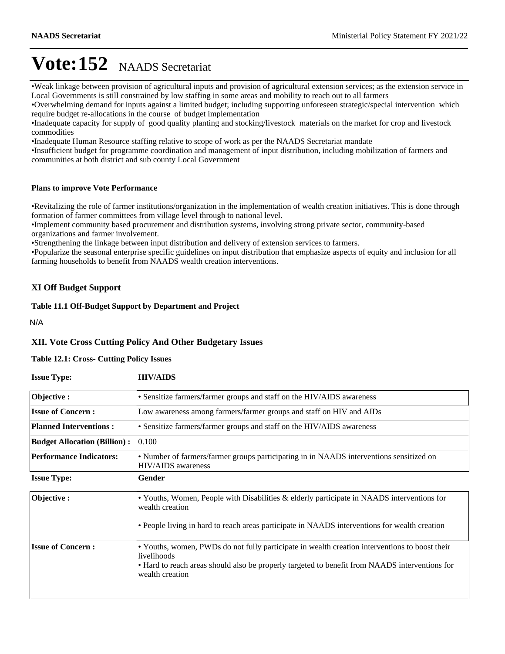Weak linkage between provision of agricultural inputs and provision of agricultural extension services; as the extension service in Local Governments is still constrained by low staffing in some areas and mobility to reach out to all farmers

Overwhelming demand for inputs against a limited budget; including supporting unforeseen strategic/special intervention which require budget re-allocations in the course of budget implementation

Inadequate capacity for supply of good quality planting and stocking/livestock materials on the market for crop and livestock commodities

Inadequate Human Resource staffing relative to scope of work as per the NAADS Secretariat mandate

Insufficient budget for programme coordination and management of input distribution, including mobilization of farmers and communities at both district and sub county Local Government

#### **Plans to improve Vote Performance**

Revitalizing the role of farmer institutions/organization in the implementation of wealth creation initiatives. This is done through formation of farmer committees from village level through to national level.

Implement community based procurement and distribution systems, involving strong private sector, community-based organizations and farmer involvement.

Strengthening the linkage between input distribution and delivery of extension services to farmers.

Popularize the seasonal enterprise specific guidelines on input distribution that emphasize aspects of equity and inclusion for all farming households to benefit from NAADS wealth creation interventions.

#### **XI Off Budget Support**

**Table 11.1 Off-Budget Support by Department and Project**

N/A

#### **XII. Vote Cross Cutting Policy And Other Budgetary Issues**

#### **Table 12.1: Cross- Cutting Policy Issues**

| <b>Issue Type:</b>                  | <b>HIV/AIDS</b>                                                                                                                                                                                                                    |  |  |  |  |  |
|-------------------------------------|------------------------------------------------------------------------------------------------------------------------------------------------------------------------------------------------------------------------------------|--|--|--|--|--|
| Objective:                          | • Sensitize farmers/farmer groups and staff on the HIV/AIDS awareness                                                                                                                                                              |  |  |  |  |  |
| <b>Issue of Concern:</b>            | Low awareness among farmers/farmer groups and staff on HIV and AIDs                                                                                                                                                                |  |  |  |  |  |
| <b>Planned Interventions:</b>       | • Sensitize farmers/farmer groups and staff on the HIV/AIDS awareness                                                                                                                                                              |  |  |  |  |  |
| <b>Budget Allocation (Billion):</b> | 0.100                                                                                                                                                                                                                              |  |  |  |  |  |
| <b>Performance Indicators:</b>      | • Number of farmers/farmer groups participating in in NAADS interventions sensitized on<br><b>HIV/AIDS</b> awareness                                                                                                               |  |  |  |  |  |
| <b>Issue Type:</b>                  | Gender                                                                                                                                                                                                                             |  |  |  |  |  |
| Objective:                          | • Youths, Women, People with Disabilities & elderly participate in NAADS interventions for<br>wealth creation                                                                                                                      |  |  |  |  |  |
|                                     | • People living in hard to reach areas participate in NAADS interventions for wealth creation                                                                                                                                      |  |  |  |  |  |
| <b>Issue of Concern:</b>            | • Youths, women, PWDs do not fully participate in wealth creation interventions to boost their<br>livelihoods<br>• Hard to reach areas should also be properly targeted to benefit from NAADS interventions for<br>wealth creation |  |  |  |  |  |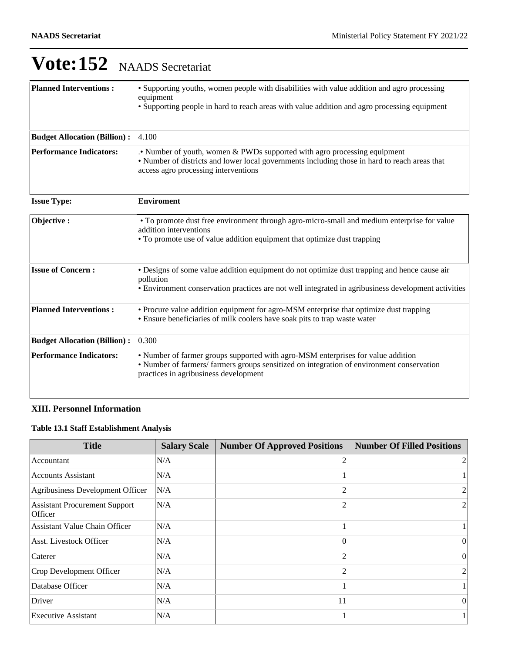| <b>Planned Interventions:</b>       | • Supporting youths, women people with disabilities with value addition and agro processing<br>equipment<br>• Supporting people in hard to reach areas with value addition and agro processing equipment               |
|-------------------------------------|------------------------------------------------------------------------------------------------------------------------------------------------------------------------------------------------------------------------|
| <b>Budget Allocation (Billion):</b> | 4.100                                                                                                                                                                                                                  |
| <b>Performance Indicators:</b>      | Number of youth, women & PWDs supported with agro processing equipment<br>• Number of districts and lower local governments including those in hard to reach areas that<br>access agro processing interventions        |
| <b>Issue Type:</b>                  | <b>Enviroment</b>                                                                                                                                                                                                      |
| Objective:                          | • To promote dust free environment through agro-micro-small and medium enterprise for value<br>addition interventions<br>• To promote use of value addition equipment that optimize dust trapping                      |
| <b>Issue of Concern:</b>            | • Designs of some value addition equipment do not optimize dust trapping and hence cause air<br>pollution<br>• Environment conservation practices are not well integrated in agribusiness development activities       |
| <b>Planned Interventions:</b>       | • Procure value addition equipment for agro-MSM enterprise that optimize dust trapping<br>• Ensure beneficiaries of milk coolers have soak pits to trap waste water                                                    |
| <b>Budget Allocation (Billion):</b> | 0.300                                                                                                                                                                                                                  |
| <b>Performance Indicators:</b>      | • Number of farmer groups supported with agro-MSM enterprises for value addition<br>• Number of farmers/ farmers groups sensitized on integration of environment conservation<br>practices in agribusiness development |

# **XIII. Personnel Information**

# **Table 13.1 Staff Establishment Analysis**

| <b>Title</b>                                    | <b>Salary Scale</b> | <b>Number Of Approved Positions</b> | <b>Number Of Filled Positions</b> |
|-------------------------------------------------|---------------------|-------------------------------------|-----------------------------------|
| Accountant                                      | N/A                 |                                     | 2                                 |
| <b>Accounts Assistant</b>                       | N/A                 |                                     |                                   |
| Agribusiness Development Officer                | IN/A                |                                     | $\overline{2}$                    |
| <b>Assistant Procurement Support</b><br>Officer | N/A                 |                                     | $\overline{2}$                    |
| <b>Assistant Value Chain Officer</b>            | N/A                 |                                     |                                   |
| <b>Asst. Livestock Officer</b>                  | N/A                 | 0                                   | 0                                 |
| Caterer                                         | N/A                 |                                     | $\vert$ 0                         |
| Crop Development Officer                        | N/A                 |                                     | 2                                 |
| Database Officer                                | N/A                 |                                     |                                   |
| Driver                                          | N/A                 | 11                                  | $\vert$ 0                         |
| <b>Executive Assistant</b>                      | N/A                 |                                     |                                   |